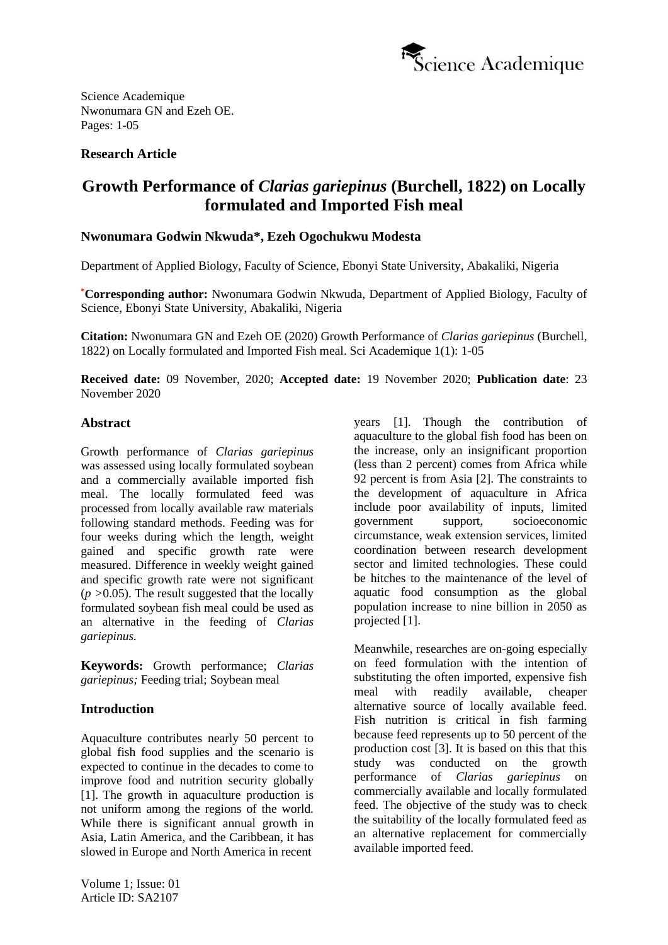

# **Research Article**

# **Growth Performance of** *Clarias gariepinus* **(Burchell, 1822) on Locally formulated and Imported Fish meal**

## **Nwonumara Godwin Nkwuda\*, Ezeh Ogochukwu Modesta**

Department of Applied Biology, Faculty of Science, Ebonyi State University, Abakaliki, Nigeria

**\*Corresponding author:** Nwonumara Godwin Nkwuda, Department of Applied Biology, Faculty of Science, Ebonyi State University, Abakaliki, Nigeria

**Citation:** Nwonumara GN and Ezeh OE (2020) Growth Performance of *Clarias gariepinus* (Burchell, 1822) on Locally formulated and Imported Fish meal. Sci Academique 1(1): 1-05

**Received date:** 09 November, 2020; **Accepted date:** 19 November 2020; **Publication date**: 23 November 2020

#### **Abstract**

Growth performance of *Clarias gariepinus* was assessed using locally formulated soybean and a commercially available imported fish meal. The locally formulated feed was processed from locally available raw materials following standard methods. Feeding was for four weeks during which the length, weight gained and specific growth rate were measured. Difference in weekly weight gained and specific growth rate were not significant (*p >*0.05). The result suggested that the locally formulated soybean fish meal could be used as an alternative in the feeding of *Clarias gariepinus.*

**Keywords:** Growth performance; *Clarias gariepinus;* Feeding trial; Soybean meal

# **Introduction**

Aquaculture contributes nearly 50 percent to global fish food supplies and the scenario is expected to continue in the decades to come to improve food and nutrition security globally [1]. The growth in aquaculture production is not uniform among the regions of the world. While there is significant annual growth in Asia, Latin America, and the Caribbean, it has slowed in Europe and North America in recent

Volume 1; Issue: 01 Article ID: SA2107

years [1]. Though the contribution of aquaculture to the global fish food has been on the increase, only an insignificant proportion (less than 2 percent) comes from Africa while 92 percent is from Asia [2]. The constraints to the development of aquaculture in Africa include poor availability of inputs, limited government support, socioeconomic circumstance, weak extension services, limited coordination between research development sector and limited technologies. These could be hitches to the maintenance of the level of aquatic food consumption as the global population increase to nine billion in 2050 as projected [1].

Meanwhile, researches are on-going especially on feed formulation with the intention of substituting the often imported, expensive fish meal with readily available, cheaper alternative source of locally available feed. Fish nutrition is critical in fish farming because feed represents up to 50 percent of the production cost [3]. It is based on this that this study was conducted on the growth performance of *Clarias gariepinus* on commercially available and locally formulated feed. The objective of the study was to check the suitability of the locally formulated feed as an alternative replacement for commercially available imported feed.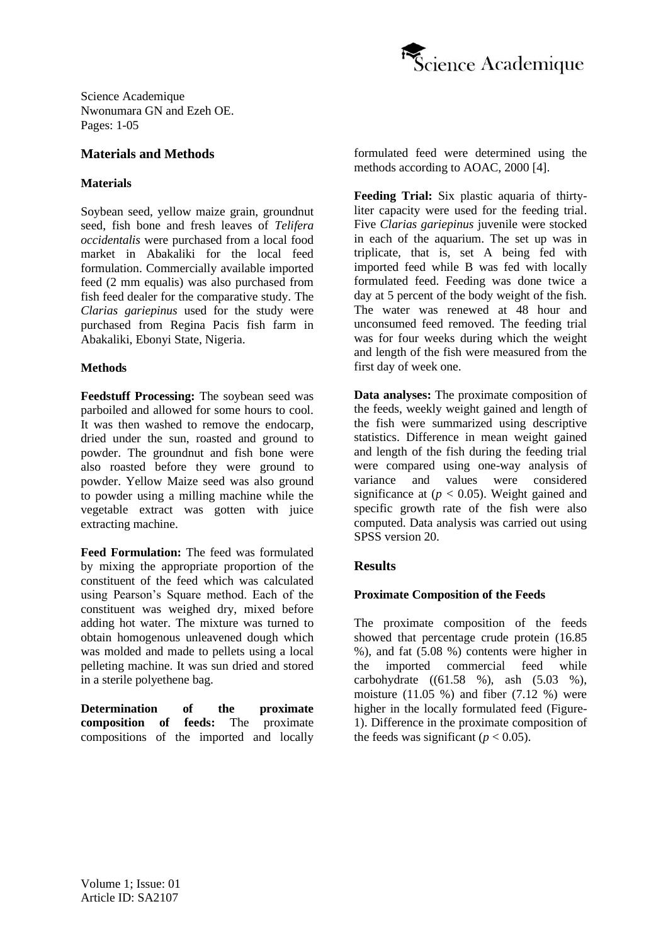

# **Materials and Methods**

## **Materials**

Soybean seed, yellow maize grain, groundnut seed, fish bone and fresh leaves of *Telifera occidentalis* were purchased from a local food market in Abakaliki for the local feed formulation. Commercially available imported feed (2 mm equalis) was also purchased from fish feed dealer for the comparative study. The *Clarias gariepinus* used for the study were purchased from Regina Pacis fish farm in Abakaliki, Ebonyi State, Nigeria.

## **Methods**

**Feedstuff Processing:** The soybean seed was parboiled and allowed for some hours to cool. It was then washed to remove the endocarp, dried under the sun, roasted and ground to powder. The groundnut and fish bone were also roasted before they were ground to powder. Yellow Maize seed was also ground to powder using a milling machine while the vegetable extract was gotten with juice extracting machine.

**Feed Formulation:** The feed was formulated by mixing the appropriate proportion of the constituent of the feed which was calculated using Pearson's Square method. Each of the constituent was weighed dry, mixed before adding hot water. The mixture was turned to obtain homogenous unleavened dough which was molded and made to pellets using a local pelleting machine. It was sun dried and stored in a sterile polyethene bag.

**Determination of the proximate composition of feeds:** The proximate compositions of the imported and locally formulated feed were determined using the methods according to AOAC, 2000 [4].

**Feeding Trial:** Six plastic aquaria of thirtyliter capacity were used for the feeding trial. Five *Clarias gariepinus* juvenile were stocked in each of the aquarium. The set up was in triplicate, that is, set A being fed with imported feed while B was fed with locally formulated feed. Feeding was done twice a day at 5 percent of the body weight of the fish. The water was renewed at 48 hour and unconsumed feed removed. The feeding trial was for four weeks during which the weight and length of the fish were measured from the first day of week one.

**Data analyses:** The proximate composition of the feeds, weekly weight gained and length of the fish were summarized using descriptive statistics. Difference in mean weight gained and length of the fish during the feeding trial were compared using one-way analysis of variance and values were considered significance at  $(p < 0.05)$ . Weight gained and specific growth rate of the fish were also computed. Data analysis was carried out using SPSS version 20.

# **Results**

# **Proximate Composition of the Feeds**

The proximate composition of the feeds showed that percentage crude protein (16.85 %), and fat (5.08 %) contents were higher in the imported commercial feed while carbohydrate ((61.58 %), ash (5.03 %), moisture  $(11.05 \%)$  and fiber  $(7.12 \%)$  were higher in the locally formulated feed (Figure-1). Difference in the proximate composition of the feeds was significant ( $p < 0.05$ ).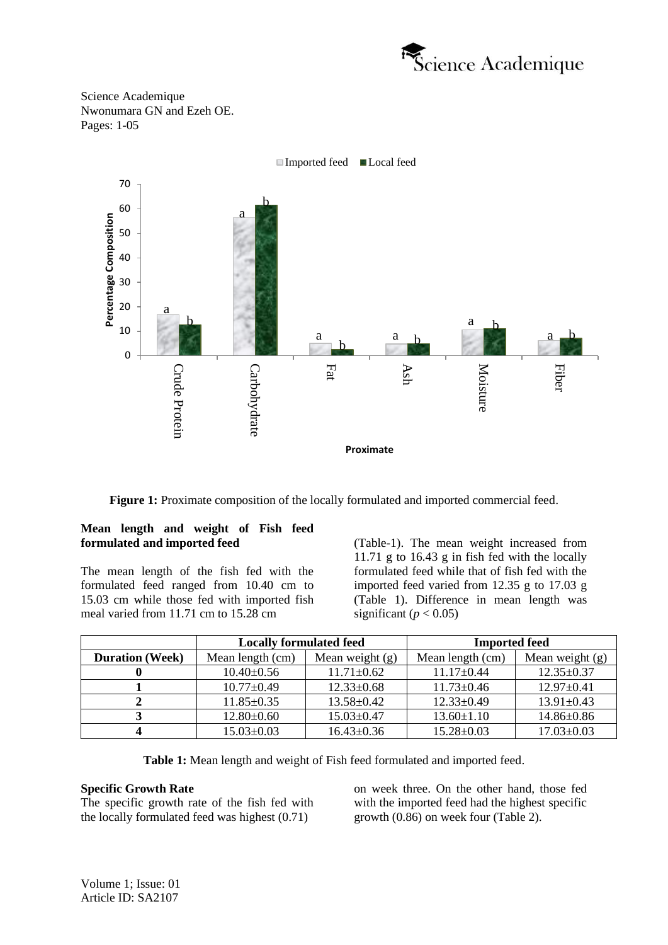



**Figure 1:** Proximate composition of the locally formulated and imported commercial feed.

## **Mean length and weight of Fish feed formulated and imported feed**

The mean length of the fish fed with the formulated feed ranged from 10.40 cm to 15.03 cm while those fed with imported fish meal varied from 11.71 cm to 15.28 cm

(Table-1). The mean weight increased from 11.71 g to 16.43 g in fish fed with the locally formulated feed while that of fish fed with the imported feed varied from 12.35 g to 17.03 g (Table 1). Difference in mean length was significant ( $p < 0.05$ )

|                        | <b>Locally formulated feed</b> |                   | <b>Imported feed</b> |                   |
|------------------------|--------------------------------|-------------------|----------------------|-------------------|
| <b>Duration</b> (Week) | Mean length (cm)               | Mean weight $(g)$ | Mean length (cm)     | Mean weight $(g)$ |
|                        | $10.40 \pm 0.56$               | $11.71 \pm 0.62$  | $11.17 \pm 0.44$     | $12.35 \pm 0.37$  |
|                        | $10.77 \pm 0.49$               | $12.33 \pm 0.68$  | $11.73 \pm 0.46$     | $12.97 \pm 0.41$  |
|                        | $11.85 \pm 0.35$               | $13.58 \pm 0.42$  | $12.33 \pm 0.49$     | $13.91 \pm 0.43$  |
|                        | $12.80 \pm 0.60$               | $15.03 \pm 0.47$  | $13.60 \pm 1.10$     | $14.86 \pm 0.86$  |
|                        | $15.03 \pm 0.03$               | $16.43 \pm 0.36$  | $15.28 \pm 0.03$     | $17.03 \pm 0.03$  |

**Table 1:** Mean length and weight of Fish feed formulated and imported feed.

#### **Specific Growth Rate**

The specific growth rate of the fish fed with the locally formulated feed was highest (0.71)

on week three. On the other hand, those fed with the imported feed had the highest specific growth (0.86) on week four (Table 2).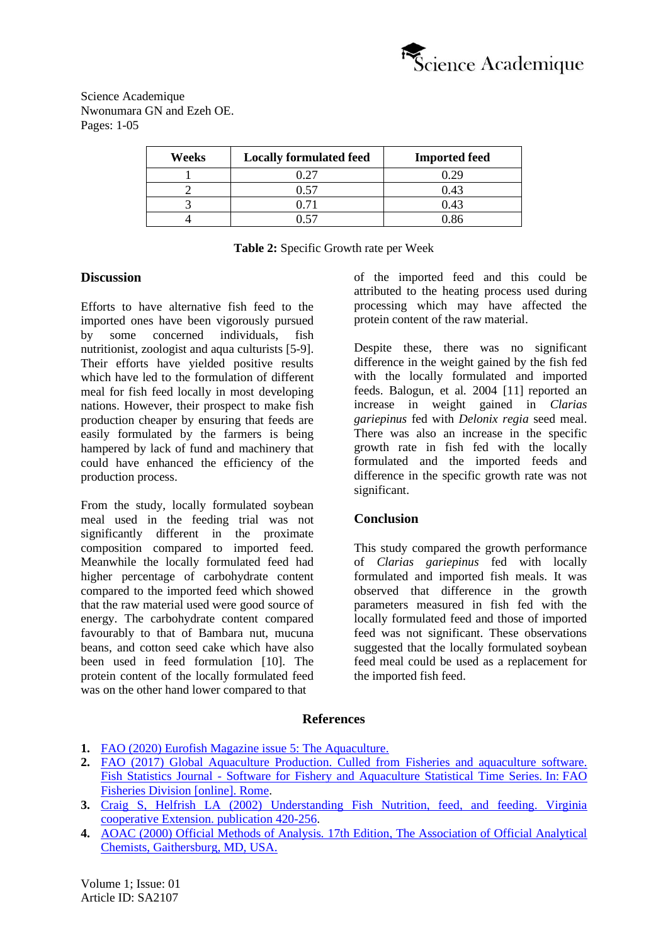

| Weeks | <b>Locally formulated feed</b> | <b>Imported feed</b> |
|-------|--------------------------------|----------------------|
|       |                                | 1.29                 |
|       | N 57                           | 0.43                 |
|       |                                | 0.43                 |
|       |                                | ).86                 |

**Table 2:** Specific Growth rate per Week

## **Discussion**

Efforts to have alternative fish feed to the imported ones have been vigorously pursued by some concerned individuals, fish nutritionist, zoologist and aqua culturists [5-9]. Their efforts have yielded positive results which have led to the formulation of different meal for fish feed locally in most developing nations. However, their prospect to make fish production cheaper by ensuring that feeds are easily formulated by the farmers is being hampered by lack of fund and machinery that could have enhanced the efficiency of the production process.

From the study, locally formulated soybean meal used in the feeding trial was not significantly different in the proximate composition compared to imported feed. Meanwhile the locally formulated feed had higher percentage of carbohydrate content compared to the imported feed which showed that the raw material used were good source of energy. The carbohydrate content compared favourably to that of Bambara nut, mucuna beans, and cotton seed cake which have also been used in feed formulation [10]. The protein content of the locally formulated feed was on the other hand lower compared to that

of the imported feed and this could be attributed to the heating process used during processing which may have affected the protein content of the raw material.

Despite these, there was no significant difference in the weight gained by the fish fed with the locally formulated and imported feeds. Balogun, et al*.* 2004 [11] reported an increase in weight gained in *Clarias gariepinus* fed with *Delonix regia* seed meal. There was also an increase in the specific growth rate in fish fed with the locally formulated and the imported feeds and difference in the specific growth rate was not significant.

# **Conclusion**

This study compared the growth performance of *Clarias gariepinus* fed with locally formulated and imported fish meals. It was observed that difference in the growth parameters measured in fish fed with the locally formulated feed and those of imported feed was not significant. These observations suggested that the locally formulated soybean feed meal could be used as a replacement for the imported fish feed.

#### **References**

- **1.** FAO (2020) [Eurofish Magazine issue 5: The Aquaculture.](https://www.eurofishmagazine.com/)
- **2.** FAO (2017) [Global Aquaculture Production. Culled from Fisheries and aquaculture software.](http://www.fao.org/fishery/en)  Fish Statistics Journal - [Software for Fishery and Aquaculture Statistical Time Series.](http://www.fao.org/fishery/en) In: FAO [Fisheries Division](http://www.fao.org/fishery/en) [online]. Rome.
- **3.** Craig S, Helfrish LA (2002) [Understanding Fish Nutrition, feed, and feeding. Virginia](https://www.pubs.ext.vt.edu/content/dam/pubs_ext_vt_edu/420/420-256/420-256_pdf.pdf)  [cooperative Extension. publication 420-256.](https://www.pubs.ext.vt.edu/content/dam/pubs_ext_vt_edu/420/420-256/420-256_pdf.pdf)
- **4.** AOAC (2000) Official Methods of Analysis*.* [17th Edition, The Association of Official Analytical](https://www.scirp.org/(S(351jmbntvnsjt1aadkposzje))/reference/ReferencesPapers.aspx?ReferenceID=1687699)  [Chemists, Gaithersburg, MD, USA.](https://www.scirp.org/(S(351jmbntvnsjt1aadkposzje))/reference/ReferencesPapers.aspx?ReferenceID=1687699)

Volume 1; Issue: 01 Article ID: SA2107